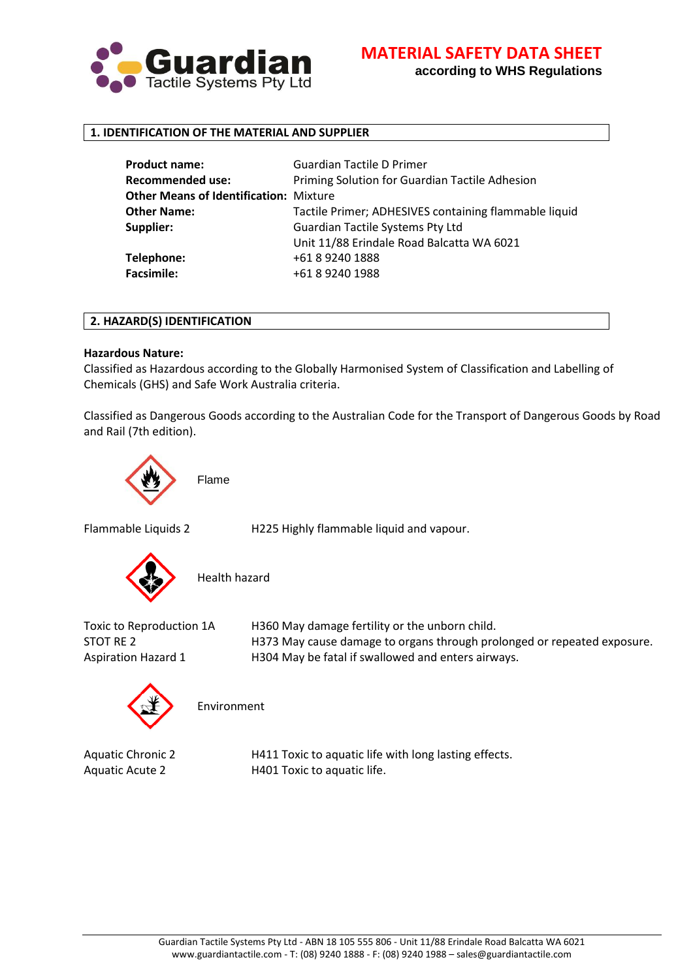

**according to WHS Regulations**

# **1. IDENTIFICATION OF THE MATERIAL AND SUPPLIER**

| <b>Product name:</b>                          | <b>Guardian Tactile D Primer</b>                      |
|-----------------------------------------------|-------------------------------------------------------|
| <b>Recommended use:</b>                       | Priming Solution for Guardian Tactile Adhesion        |
| <b>Other Means of Identification: Mixture</b> |                                                       |
| <b>Other Name:</b>                            | Tactile Primer; ADHESIVES containing flammable liquid |
| Supplier:                                     | <b>Guardian Tactile Systems Pty Ltd</b>               |
|                                               | Unit 11/88 Erindale Road Balcatta WA 6021             |
| Telephone:                                    | +61 8 9240 1888                                       |
| <b>Facsimile:</b>                             | +61 8 9240 1988                                       |
|                                               |                                                       |

#### **2. HAZARD(S) IDENTIFICATION**

### **Hazardous Nature:**

Classified as Hazardous according to the Globally Harmonised System of Classification and Labelling of Chemicals (GHS) and Safe Work Australia criteria.

Classified as Dangerous Goods according to the Australian Code for the Transport of Dangerous Goods by Road and Rail (7th edition).



Flammable Liquids 2 H225 Highly flammable liquid and vapour.



Health hazard

Toxic to Reproduction 1A H360 May damage fertility or the unborn child. STOT RE 2 **H373 May cause damage to organs through prolonged or repeated exposure.** Aspiration Hazard 1 H304 May be fatal if swallowed and enters airways.



Environment

Aquatic Chronic 2 H411 Toxic to aquatic life with long lasting effects. Aquatic Acute 2 H401 Toxic to aquatic life.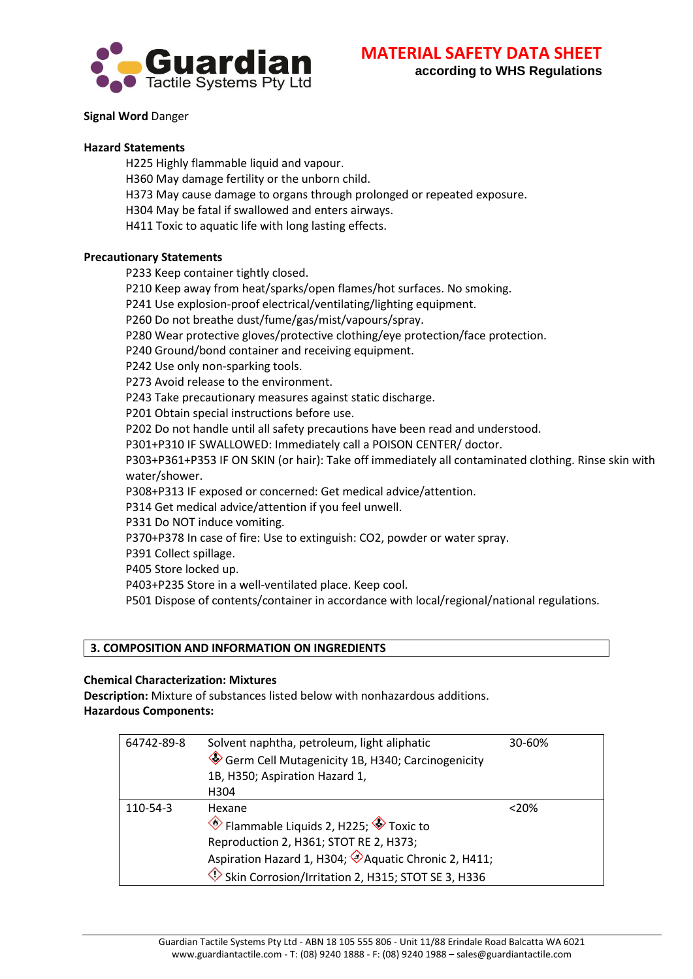

# **Signal Word** Danger

### **Hazard Statements**

H225 Highly flammable liquid and vapour.

- H360 May damage fertility or the unborn child.
- H373 May cause damage to organs through prolonged or repeated exposure.
- H304 May be fatal if swallowed and enters airways.

H411 Toxic to aquatic life with long lasting effects.

### **Precautionary Statements**

P233 Keep container tightly closed.

P210 Keep away from heat/sparks/open flames/hot surfaces. No smoking.

P241 Use explosion-proof electrical/ventilating/lighting equipment.

P260 Do not breathe dust/fume/gas/mist/vapours/spray.

P280 Wear protective gloves/protective clothing/eye protection/face protection.

P240 Ground/bond container and receiving equipment.

P242 Use only non-sparking tools.

P273 Avoid release to the environment.

P243 Take precautionary measures against static discharge.

P201 Obtain special instructions before use.

P202 Do not handle until all safety precautions have been read and understood.

P301+P310 IF SWALLOWED: Immediately call a POISON CENTER/ doctor.

P303+P361+P353 IF ON SKIN (or hair): Take off immediately all contaminated clothing. Rinse skin with water/shower.

P308+P313 IF exposed or concerned: Get medical advice/attention.

P314 Get medical advice/attention if you feel unwell.

P331 Do NOT induce vomiting.

P370+P378 In case of fire: Use to extinguish: CO2, powder or water spray.

P391 Collect spillage.

P405 Store locked up.

P403+P235 Store in a well-ventilated place. Keep cool.

P501 Dispose of contents/container in accordance with local/regional/national regulations.

# **3. COMPOSITION AND INFORMATION ON INGREDIENTS**

# **Chemical Characterization: Mixtures**

**Description:** Mixture of substances listed below with nonhazardous additions. **Hazardous Components:**

| 64742-89-8 | Solvent naphtha, petroleum, light aliphatic         | 30-60%  |
|------------|-----------------------------------------------------|---------|
|            | Germ Cell Mutagenicity 1B, H340; Carcinogenicity    |         |
|            | 1B, H350; Aspiration Hazard 1,                      |         |
|            | H304                                                |         |
| 110-54-3   | Hexane                                              | $<$ 20% |
|            | ♦ Flammable Liquids 2, H225; ♦ Toxic to             |         |
|            | Reproduction 2, H361; STOT RE 2, H373;              |         |
|            | Aspiration Hazard 1, H304; Aquatic Chronic 2, H411; |         |
|            | Skin Corrosion/Irritation 2, H315; STOT SE 3, H336  |         |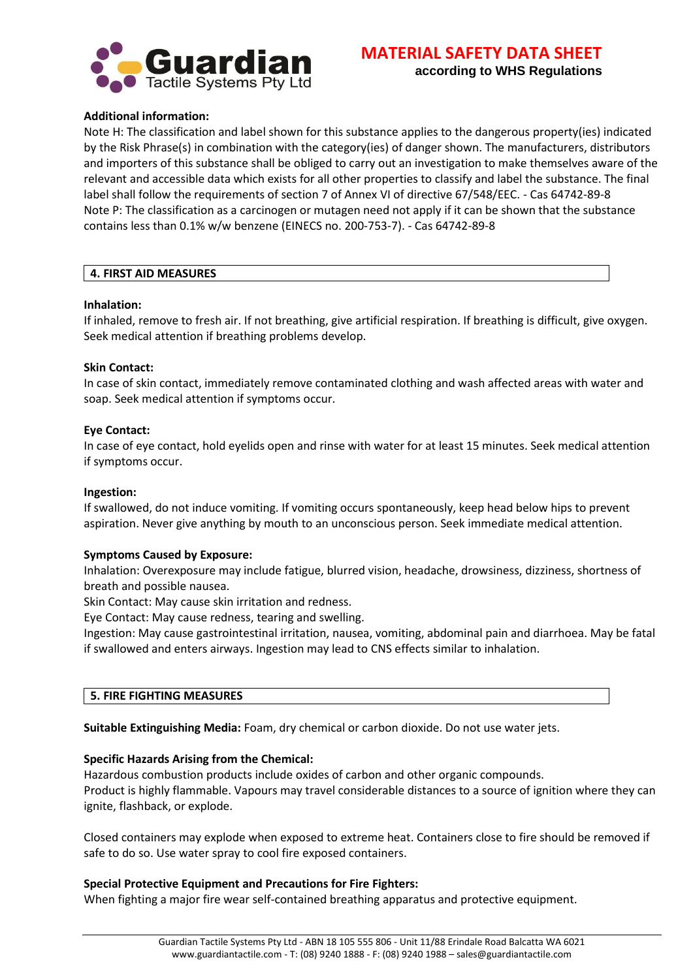

# **Additional information:**

Note H: The classification and label shown for this substance applies to the dangerous property(ies) indicated by the Risk Phrase(s) in combination with the category(ies) of danger shown. The manufacturers, distributors and importers of this substance shall be obliged to carry out an investigation to make themselves aware of the relevant and accessible data which exists for all other properties to classify and label the substance. The final label shall follow the requirements of section 7 of Annex VI of directive 67/548/EEC. - Cas 64742-89-8 Note P: The classification as a carcinogen or mutagen need not apply if it can be shown that the substance contains less than 0.1% w/w benzene (EINECS no. 200-753-7). - Cas 64742-89-8

#### **4. FIRST AID MEASURES**

#### **Inhalation:**

If inhaled, remove to fresh air. If not breathing, give artificial respiration. If breathing is difficult, give oxygen. Seek medical attention if breathing problems develop.

#### **Skin Contact:**

In case of skin contact, immediately remove contaminated clothing and wash affected areas with water and soap. Seek medical attention if symptoms occur.

#### **Eye Contact:**

In case of eye contact, hold eyelids open and rinse with water for at least 15 minutes. Seek medical attention if symptoms occur.

#### **Ingestion:**

If swallowed, do not induce vomiting. If vomiting occurs spontaneously, keep head below hips to prevent aspiration. Never give anything by mouth to an unconscious person. Seek immediate medical attention.

### **Symptoms Caused by Exposure:**

Inhalation: Overexposure may include fatigue, blurred vision, headache, drowsiness, dizziness, shortness of breath and possible nausea.

Skin Contact: May cause skin irritation and redness.

Eye Contact: May cause redness, tearing and swelling.

Ingestion: May cause gastrointestinal irritation, nausea, vomiting, abdominal pain and diarrhoea. May be fatal if swallowed and enters airways. Ingestion may lead to CNS effects similar to inhalation.

#### **5. FIRE FIGHTING MEASURES**

**Suitable Extinguishing Media:** Foam, dry chemical or carbon dioxide. Do not use water jets.

### **Specific Hazards Arising from the Chemical:**

Hazardous combustion products include oxides of carbon and other organic compounds.

Product is highly flammable. Vapours may travel considerable distances to a source of ignition where they can ignite, flashback, or explode.

Closed containers may explode when exposed to extreme heat. Containers close to fire should be removed if safe to do so. Use water spray to cool fire exposed containers.

### **Special Protective Equipment and Precautions for Fire Fighters:**

When fighting a major fire wear self-contained breathing apparatus and protective equipment.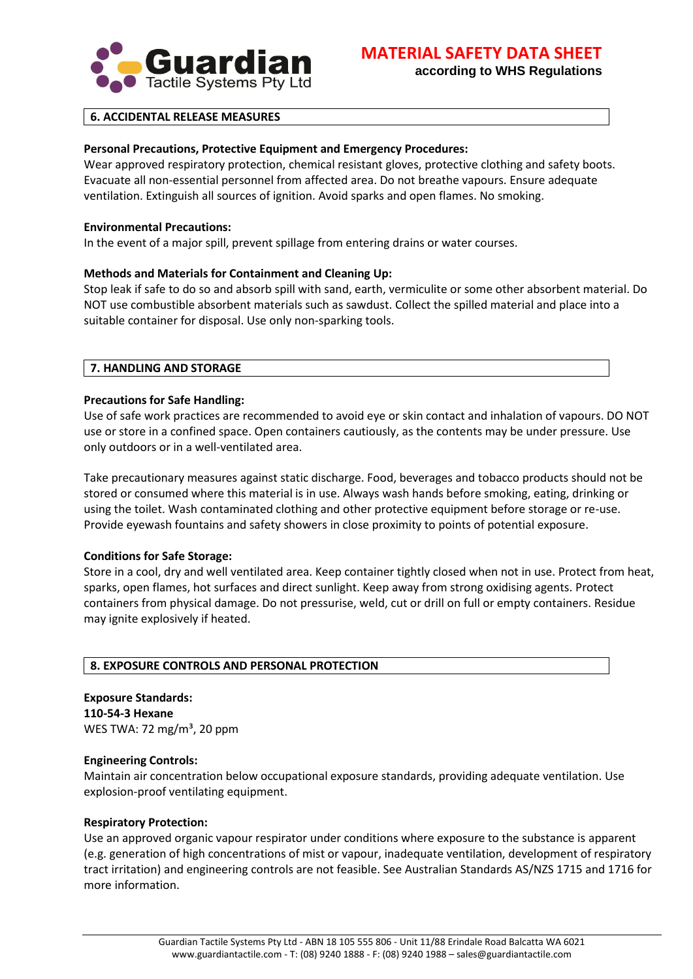

**according to WHS Regulations**

# **6. ACCIDENTAL RELEASE MEASURES**

### **Personal Precautions, Protective Equipment and Emergency Procedures:**

Wear approved respiratory protection, chemical resistant gloves, protective clothing and safety boots. Evacuate all non-essential personnel from affected area. Do not breathe vapours. Ensure adequate ventilation. Extinguish all sources of ignition. Avoid sparks and open flames. No smoking.

#### **Environmental Precautions:**

In the event of a major spill, prevent spillage from entering drains or water courses.

#### **Methods and Materials for Containment and Cleaning Up:**

Stop leak if safe to do so and absorb spill with sand, earth, vermiculite or some other absorbent material. Do NOT use combustible absorbent materials such as sawdust. Collect the spilled material and place into a suitable container for disposal. Use only non-sparking tools.

#### **7. HANDLING AND STORAGE**

#### **Precautions for Safe Handling:**

Use of safe work practices are recommended to avoid eye or skin contact and inhalation of vapours. DO NOT use or store in a confined space. Open containers cautiously, as the contents may be under pressure. Use only outdoors or in a well-ventilated area.

Take precautionary measures against static discharge. Food, beverages and tobacco products should not be stored or consumed where this material is in use. Always wash hands before smoking, eating, drinking or using the toilet. Wash contaminated clothing and other protective equipment before storage or re-use. Provide eyewash fountains and safety showers in close proximity to points of potential exposure.

### **Conditions for Safe Storage:**

Store in a cool, dry and well ventilated area. Keep container tightly closed when not in use. Protect from heat, sparks, open flames, hot surfaces and direct sunlight. Keep away from strong oxidising agents. Protect containers from physical damage. Do not pressurise, weld, cut or drill on full or empty containers. Residue may ignite explosively if heated.

#### **8. EXPOSURE CONTROLS AND PERSONAL PROTECTION**

**Exposure Standards: 110-54-3 Hexane** WES TWA: 72 mg/m<sup>3</sup>, 20 ppm

#### **Engineering Controls:**

Maintain air concentration below occupational exposure standards, providing adequate ventilation. Use explosion-proof ventilating equipment.

#### **Respiratory Protection:**

Use an approved organic vapour respirator under conditions where exposure to the substance is apparent (e.g. generation of high concentrations of mist or vapour, inadequate ventilation, development of respiratory tract irritation) and engineering controls are not feasible. See Australian Standards AS/NZS 1715 and 1716 for more information.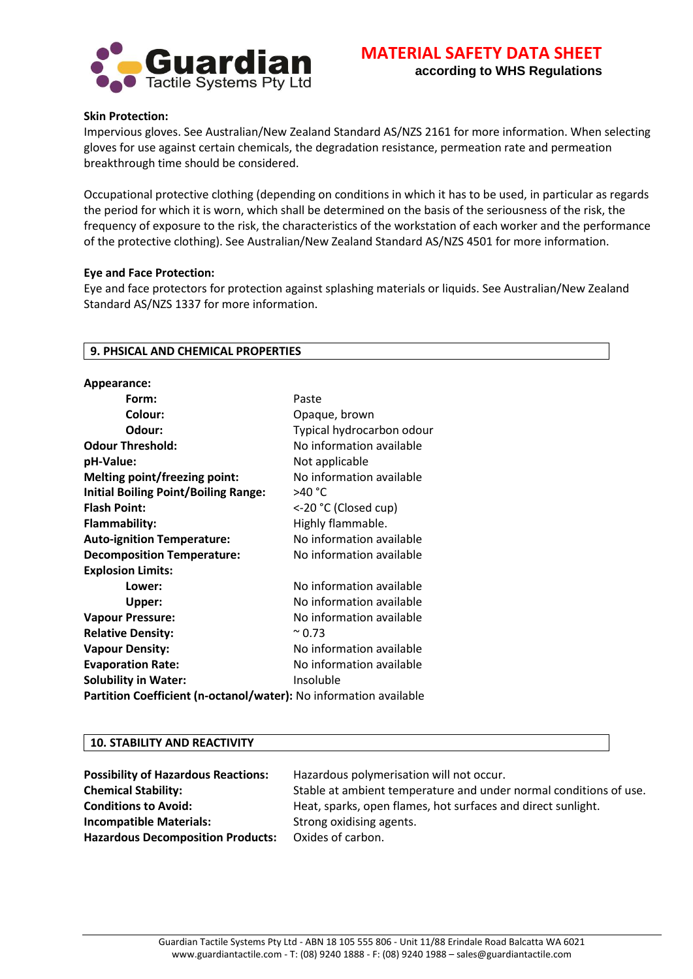

#### **Skin Protection:**

Impervious gloves. See Australian/New Zealand Standard AS/NZS 2161 for more information. When selecting gloves for use against certain chemicals, the degradation resistance, permeation rate and permeation breakthrough time should be considered.

Occupational protective clothing (depending on conditions in which it has to be used, in particular as regards the period for which it is worn, which shall be determined on the basis of the seriousness of the risk, the frequency of exposure to the risk, the characteristics of the workstation of each worker and the performance of the protective clothing). See Australian/New Zealand Standard AS/NZS 4501 for more information.

#### **Eye and Face Protection:**

Eye and face protectors for protection against splashing materials or liquids. See Australian/New Zealand Standard AS/NZS 1337 for more information.

### **9. PHSICAL AND CHEMICAL PROPERTIES**

| Appearance:                                                       |                           |
|-------------------------------------------------------------------|---------------------------|
| Form:                                                             | Paste                     |
| Colour:                                                           | Opaque, brown             |
| Odour:                                                            | Typical hydrocarbon odour |
| <b>Odour Threshold:</b>                                           | No information available  |
| pH-Value:                                                         | Not applicable            |
| <b>Melting point/freezing point:</b>                              | No information available  |
| <b>Initial Boiling Point/Boiling Range:</b>                       | >40 °C                    |
| <b>Flash Point:</b>                                               | <-20 °C (Closed cup)      |
| Flammability:                                                     | Highly flammable.         |
| <b>Auto-ignition Temperature:</b>                                 | No information available  |
| <b>Decomposition Temperature:</b>                                 | No information available  |
| <b>Explosion Limits:</b>                                          |                           |
| Lower:                                                            | No information available  |
| Upper:                                                            | No information available  |
| <b>Vapour Pressure:</b>                                           | No information available  |
| <b>Relative Density:</b>                                          | $^{\sim}$ 0.73            |
| <b>Vapour Density:</b>                                            | No information available  |
| <b>Evaporation Rate:</b>                                          | No information available  |
| <b>Solubility in Water:</b>                                       | Insoluble                 |
| Partition Coefficient (n-octanol/water): No information available |                           |

#### **10. STABILITY AND REACTIVITY**

| <b>Possibility of Hazardous Reactions:</b> | Hazardous polymerisation will not occur.                          |
|--------------------------------------------|-------------------------------------------------------------------|
| <b>Chemical Stability:</b>                 | Stable at ambient temperature and under normal conditions of use. |
| <b>Conditions to Avoid:</b>                | Heat, sparks, open flames, hot surfaces and direct sunlight.      |
| <b>Incompatible Materials:</b>             | Strong oxidising agents.                                          |
| <b>Hazardous Decomposition Products:</b>   | Oxides of carbon.                                                 |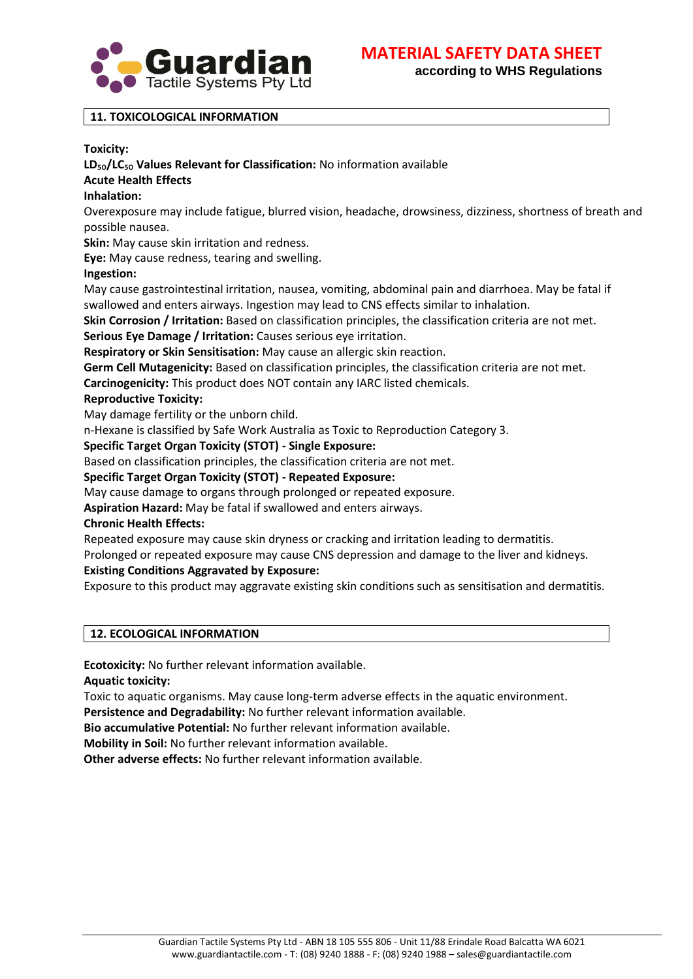

**MATERIAL SAFETY DATA SHEET**

**according to WHS Regulations**

# **11. TOXICOLOGICAL INFORMATION**

### **Toxicity:**

# **LD**₅₀**/LC**₅₀ **Values Relevant for Classification:** No information available

### **Acute Health Effects**

### **Inhalation:**

Overexposure may include fatigue, blurred vision, headache, drowsiness, dizziness, shortness of breath and possible nausea.

**Skin:** May cause skin irritation and redness.

**Eye:** May cause redness, tearing and swelling.

### **Ingestion:**

May cause gastrointestinal irritation, nausea, vomiting, abdominal pain and diarrhoea. May be fatal if swallowed and enters airways. Ingestion may lead to CNS effects similar to inhalation.

**Skin Corrosion / Irritation:** Based on classification principles, the classification criteria are not met.

**Serious Eye Damage / Irritation:** Causes serious eye irritation.

**Respiratory or Skin Sensitisation:** May cause an allergic skin reaction.

**Germ Cell Mutagenicity:** Based on classification principles, the classification criteria are not met.

**Carcinogenicity:** This product does NOT contain any IARC listed chemicals.

# **Reproductive Toxicity:**

May damage fertility or the unborn child.

n-Hexane is classified by Safe Work Australia as Toxic to Reproduction Category 3.

### **Specific Target Organ Toxicity (STOT) - Single Exposure:**

Based on classification principles, the classification criteria are not met.

### **Specific Target Organ Toxicity (STOT) - Repeated Exposure:**

May cause damage to organs through prolonged or repeated exposure.

**Aspiration Hazard:** May be fatal if swallowed and enters airways.

### **Chronic Health Effects:**

Repeated exposure may cause skin dryness or cracking and irritation leading to dermatitis.

Prolonged or repeated exposure may cause CNS depression and damage to the liver and kidneys.

# **Existing Conditions Aggravated by Exposure:**

Exposure to this product may aggravate existing skin conditions such as sensitisation and dermatitis.

# **12. ECOLOGICAL INFORMATION**

**Ecotoxicity:** No further relevant information available.

**Aquatic toxicity:**

Toxic to aquatic organisms. May cause long-term adverse effects in the aquatic environment.

**Persistence and Degradability:** No further relevant information available.

**Bio accumulative Potential:** No further relevant information available.

**Mobility in Soil:** No further relevant information available.

**Other adverse effects:** No further relevant information available.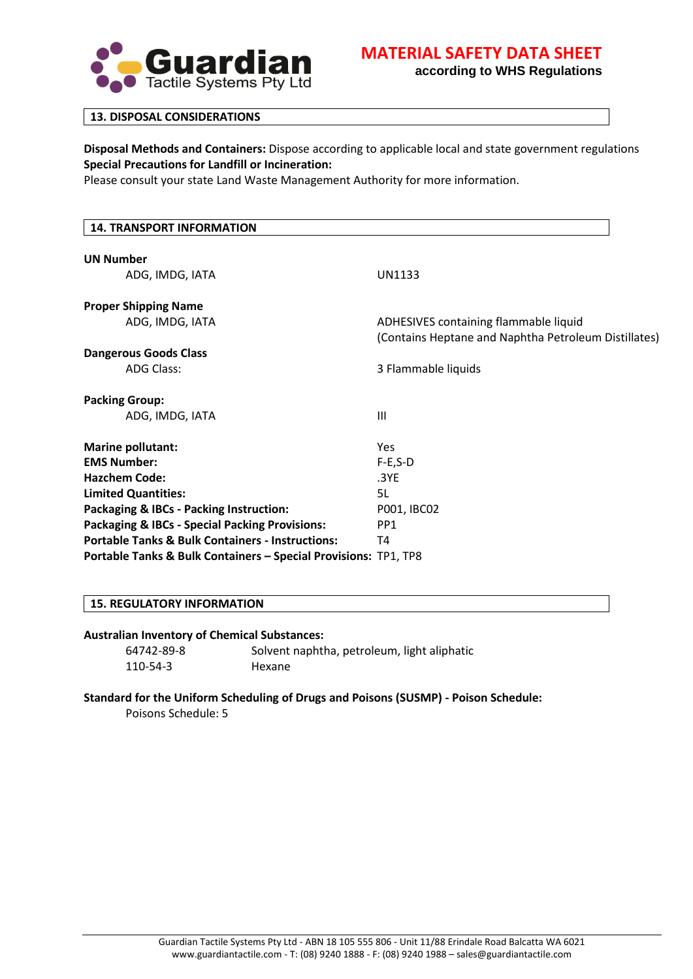

# **MATERIAL SAFETY DATA SHEET**

**according to WHS Regulations**

#### **13. DISPOSAL CONSIDERATIONS**

**Disposal Methods and Containers:** Dispose according to applicable local and state government regulations **Special Precautions for Landfill or Incineration:**

Please consult your state Land Waste Management Authority for more information.

# **14. TRANSPORT INFORMATION UN Number** ADG, IMDG, IATA UN1133 **Proper Shipping Name** ADG, IMDG, IATA ADHESIVES containing flammable liquid (Contains Heptane and Naphtha Petroleum Distillates) **Dangerous Goods Class** ADG Class: 3 Flammable liquids **Packing Group:** ADG, IMDG, IATA III **Marine pollutant:** Yes **EMS Number:** F-E,S-D **Hazchem Code:** .3YE **Limited Quantities:** 5L **Packaging & IBCs - Packing Instruction:** P001, IBC02 **Packaging & IBCs - Special Packing Provisions:** PP1 **Portable Tanks & Bulk Containers - Instructions:** T4 **Portable Tanks & Bulk Containers – Special Provisions:** TP1, TP8

# **15. REGULATORY INFORMATION**

#### **Australian Inventory of Chemical Substances:**

110-54-3 Hexane

64742-89-8 Solvent naphtha, petroleum, light aliphatic

### **Standard for the Uniform Scheduling of Drugs and Poisons (SUSMP) - Poison Schedule:**

Poisons Schedule: 5